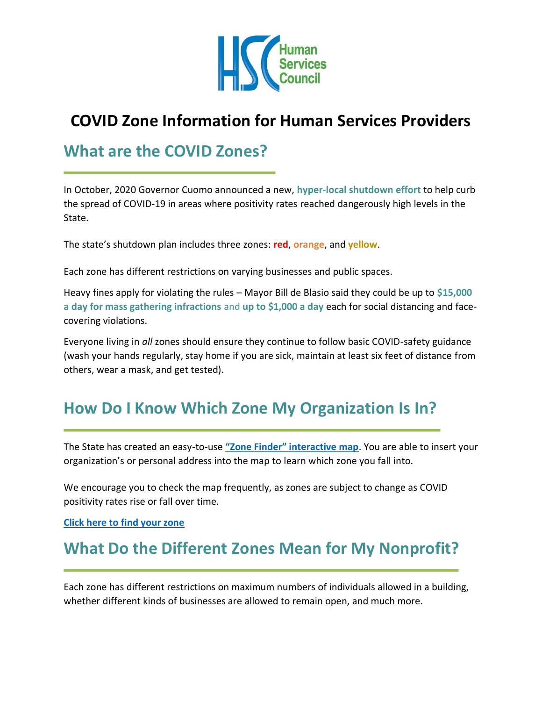

# **COVID Zone Information for Human Services Providers**

## **What are the COVID Zones?**

In October, 2020 Governor Cuomo announced a new, **hyper-local shutdown effort** to help curb the spread of COVID-19 in areas where positivity rates reached dangerously high levels in the State.

The state's shutdown plan includes three zones: **red**, **orange**, and **yellow**.

Each zone has different restrictions on varying businesses and public spaces.

Heavy fines apply for violating the rules – Mayor Bill de Blasio said they could be up to **\$15,000 a day for mass gathering infractions** and **up to \$1,000 a day** each for social distancing and facecovering violations.

Everyone living in *all* zones should ensure they continue to follow basic COVID-safety guidance (wash your hands regularly, stay home if you are sick, maintain at least six feet of distance from others, wear a mask, and get tested).

### **How Do I Know Which Zone My Organization Is In?**

The State has created an easy-to-use **["Zone Finder" interactive map](https://nycgov.maps.arcgis.com/apps/instant/lookup/index.html?appid=021940a41da04314827e2782d3d1986f)**. You are able to insert your organization's or personal address into the map to learn which zone you fall into.

We encourage you to check the map frequently, as zones are subject to change as COVID positivity rates rise or fall over time.

**[Click here to find your zone](https://nycgov.maps.arcgis.com/apps/instant/lookup/index.html?appid=021940a41da04314827e2782d3d1986f)**

## **What Do the Different Zones Mean for My Nonprofit?**

Each zone has different restrictions on maximum numbers of individuals allowed in a building, whether different kinds of businesses are allowed to remain open, and much more.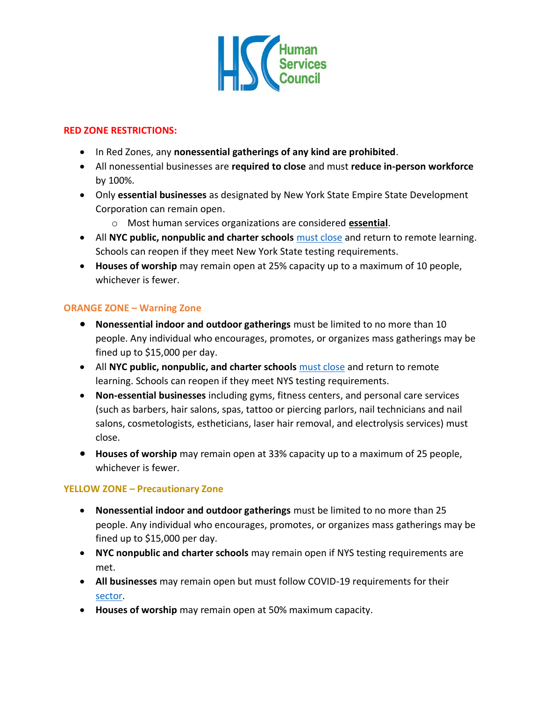

#### **RED ZONE RESTRICTIONS:**

- In Red Zones, any **nonessential gatherings of any kind are prohibited**.
- All nonessential businesses are **required to close** and must **reduce in-person workforce** by 100%.
- Only **essential businesses** as designated by New York State Empire State Development Corporation can remain open.
	- o Most human services organizations are considered **[essential](https://esd.ny.gov/ny-cluster-action-initiative-guidance)**.
- All **NYC public, nonpublic and charter schools** [must close](https://www1.nyc.gov/assets/doh/downloads/pdf/covid/businesses/covid-19-nonpublic-schools-yellow-zone-requirements.pdf) and return to remote learning. Schools can reopen if they meet New York State testing requirements.
- **Houses of worship** may remain open at 25% capacity up to a maximum of 10 people, whichever is fewer.

#### **ORANGE ZONE – Warning Zone**

- **Nonessential indoor and outdoor gatherings** must be limited to no more than 10 people. Any individual who encourages, promotes, or organizes mass gatherings may be fined up to \$15,000 per day.
- All **NYC public, nonpublic, and charter schools** [must close](https://www1.nyc.gov/assets/doh/downloads/pdf/covid/businesses/covid-19-nonpublic-schools-yellow-zone-requirements.pdf) and return to remote learning. Schools can reopen if they meet NYS testing requirements.
- **Non-essential businesses** including gyms, fitness centers, and personal care services (such as barbers, hair salons, spas, tattoo or piercing parlors, nail technicians and nail salons, cosmetologists, estheticians, laser hair removal, and electrolysis services) must close.
- **Houses of worship** may remain open at 33% capacity up to a maximum of 25 people, whichever is fewer.

#### **YELLOW ZONE – Precautionary Zone**

- **Nonessential indoor and outdoor gatherings** must be limited to no more than 25 people. Any individual who encourages, promotes, or organizes mass gatherings may be fined up to \$15,000 per day.
- **NYC nonpublic and charter schools** may remain open if NYS testing requirements are met.
- **All businesses** may remain open but must follow COVID-19 requirements for their [sector.](https://forward.ny.gov/reopening-new-york-city)
- **Houses of worship** may remain open at 50% maximum capacity.